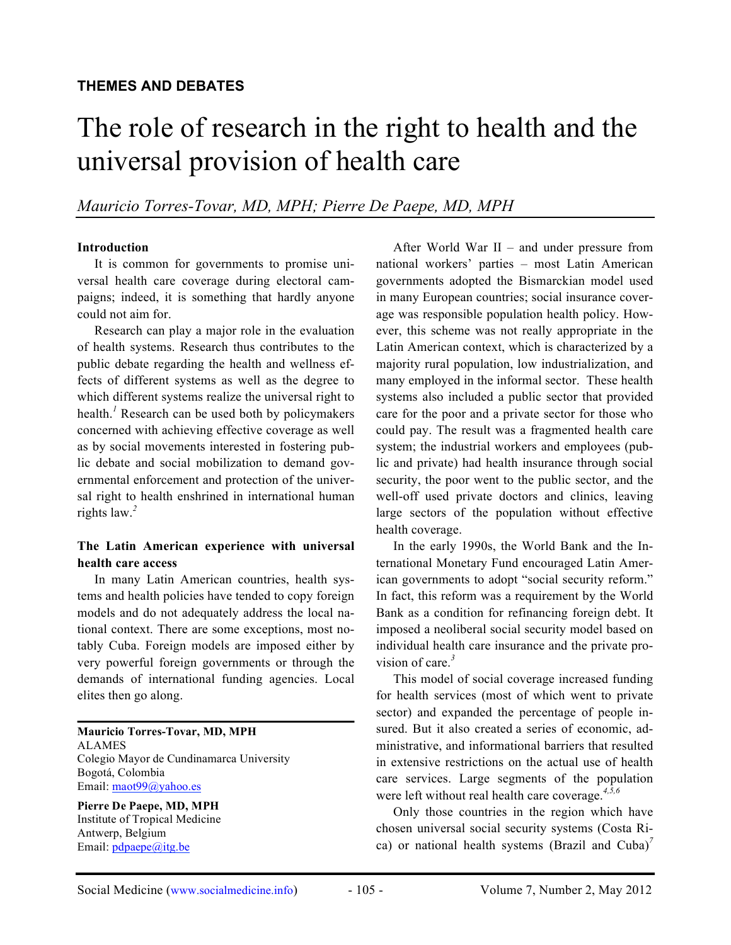# The role of research in the right to health and the universal provision of health care

*Mauricio Torres-Tovar, MD, MPH; Pierre De Paepe, MD, MPH*

#### **Introduction**

It is common for governments to promise universal health care coverage during electoral campaigns; indeed, it is something that hardly anyone could not aim for.

Research can play a major role in the evaluation of health systems. Research thus contributes to the public debate regarding the health and wellness effects of different systems as well as the degree to which different systems realize the universal right to health.*<sup>1</sup>* Research can be used both by policymakers concerned with achieving effective coverage as well as by social movements interested in fostering public debate and social mobilization to demand governmental enforcement and protection of the universal right to health enshrined in international human rights law.*<sup>2</sup>*

#### **The Latin American experience with universal health care access**

In many Latin American countries, health systems and health policies have tended to copy foreign models and do not adequately address the local national context. There are some exceptions, most notably Cuba. Foreign models are imposed either by very powerful foreign governments or through the demands of international funding agencies. Local elites then go along.

**Mauricio Torres-Tovar, MD, MPH** ALAMES Colegio Mayor de Cundinamarca University Bogotá, Colombia Email: maot99@yahoo.es

**Pierre De Paepe, MD, MPH** Institute of Tropical Medicine Antwerp, Belgium Email: pdpaepe@itg.be

After World War II – and under pressure from national workers' parties – most Latin American governments adopted the Bismarckian model used in many European countries; social insurance coverage was responsible population health policy. However, this scheme was not really appropriate in the Latin American context, which is characterized by a majority rural population, low industrialization, and many employed in the informal sector. These health systems also included a public sector that provided care for the poor and a private sector for those who could pay. The result was a fragmented health care system; the industrial workers and employees (public and private) had health insurance through social security, the poor went to the public sector, and the well-off used private doctors and clinics, leaving large sectors of the population without effective health coverage.

In the early 1990s, the World Bank and the International Monetary Fund encouraged Latin American governments to adopt "social security reform." In fact, this reform was a requirement by the World Bank as a condition for refinancing foreign debt. It imposed a neoliberal social security model based on individual health care insurance and the private provision of care.*<sup>3</sup>*

This model of social coverage increased funding for health services (most of which went to private sector) and expanded the percentage of people insured. But it also created a series of economic, administrative, and informational barriers that resulted in extensive restrictions on the actual use of health care services. Large segments of the population were left without real health care coverage.*4,5,6*

Only those countries in the region which have chosen universal social security systems (Costa Rica) or national health systems (Brazil and Cuba)<sup>7</sup>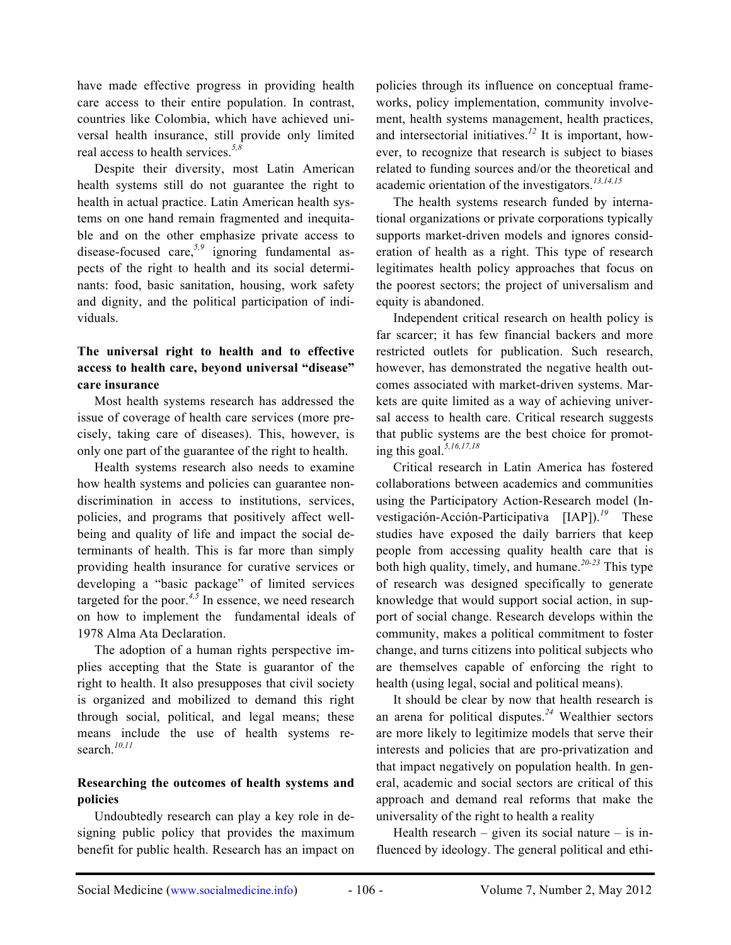have made effective progress in providing health care access to their entire population. In contrast, countries like Colombia, which have achieved universal health insurance, still provide only limited real access to health services.*5,8*

Despite their diversity, most Latin American health systems still do not guarantee the right to health in actual practice. Latin American health systems on one hand remain fragmented and inequitable and on the other emphasize private access to disease-focused care,*5,9* ignoring fundamental aspects of the right to health and its social determinants: food, basic sanitation, housing, work safety and dignity, and the political participation of individuals.

# **The universal right to health and to effective access to health care, beyond universal "disease" care insurance**

Most health systems research has addressed the issue of coverage of health care services (more precisely, taking care of diseases). This, however, is only one part of the guarantee of the right to health.

Health systems research also needs to examine how health systems and policies can guarantee nondiscrimination in access to institutions, services, policies, and programs that positively affect wellbeing and quality of life and impact the social determinants of health. This is far more than simply providing health insurance for curative services or developing a "basic package" of limited services targeted for the poor.<sup>4,5</sup> In essence, we need research on how to implement the fundamental ideals of 1978 Alma Ata Declaration.

The adoption of a human rights perspective implies accepting that the State is guarantor of the right to health. It also presupposes that civil society is organized and mobilized to demand this right through social, political, and legal means; these means include the use of health systems research.*10,11*

## **Researching the outcomes of health systems and policies**

Undoubtedly research can play a key role in designing public policy that provides the maximum benefit for public health. Research has an impact on policies through its influence on conceptual frameworks, policy implementation, community involvement, health systems management, health practices, and intersectorial initiatives.*<sup>12</sup>* It is important, however, to recognize that research is subject to biases related to funding sources and/or the theoretical and academic orientation of the investigators.*13,14,15*

The health systems research funded by international organizations or private corporations typically supports market-driven models and ignores consideration of health as a right. This type of research legitimates health policy approaches that focus on the poorest sectors; the project of universalism and equity is abandoned.

Independent critical research on health policy is far scarcer; it has few financial backers and more restricted outlets for publication. Such research, however, has demonstrated the negative health outcomes associated with market-driven systems. Markets are quite limited as a way of achieving universal access to health care. Critical research suggests that public systems are the best choice for promoting this goal.*5,16,17,18*

Critical research in Latin America has fostered collaborations between academics and communities using the Participatory Action-Research model (Investigación-Acción-Participativa [IAP]).*<sup>19</sup>* These studies have exposed the daily barriers that keep people from accessing quality health care that is both high quality, timely, and humane.*20-23* This type of research was designed specifically to generate knowledge that would support social action, in support of social change. Research develops within the community, makes a political commitment to foster change, and turns citizens into political subjects who are themselves capable of enforcing the right to health (using legal, social and political means).

It should be clear by now that health research is an arena for political disputes.*<sup>24</sup>* Wealthier sectors are more likely to legitimize models that serve their interests and policies that are pro-privatization and that impact negatively on population health. In general, academic and social sectors are critical of this approach and demand real reforms that make the universality of the right to health a reality

Health research – given its social nature – is influenced by ideology. The general political and ethi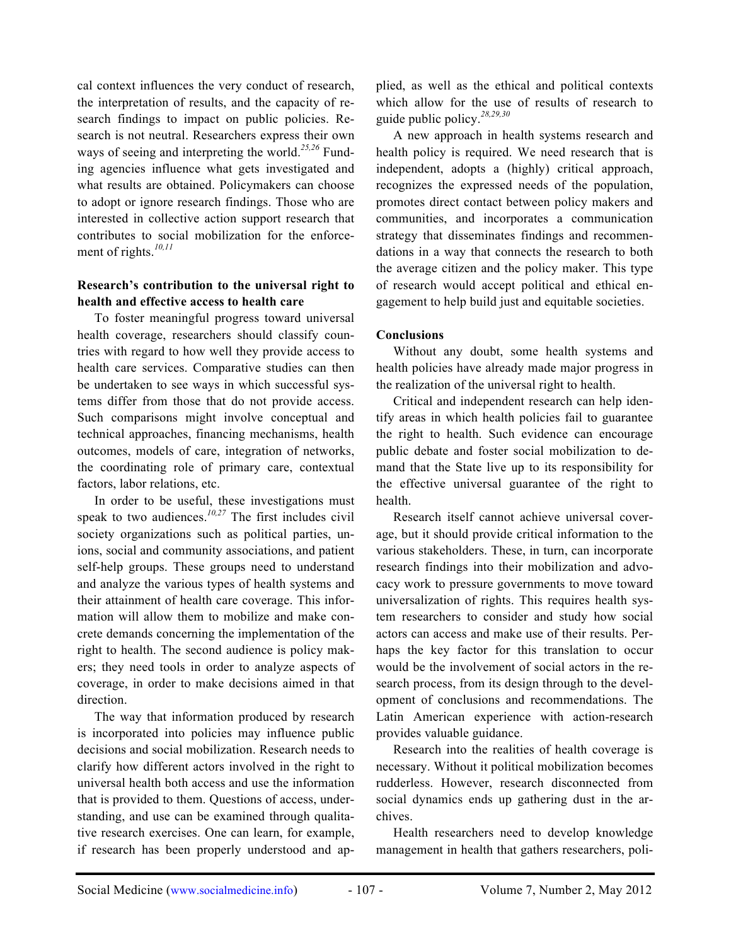cal context influences the very conduct of research, the interpretation of results, and the capacity of research findings to impact on public policies. Research is not neutral. Researchers express their own ways of seeing and interpreting the world.*25,26* Funding agencies influence what gets investigated and what results are obtained. Policymakers can choose to adopt or ignore research findings. Those who are interested in collective action support research that contributes to social mobilization for the enforcement of rights.*10,11*

## **Research's contribution to the universal right to health and effective access to health care**

To foster meaningful progress toward universal health coverage, researchers should classify countries with regard to how well they provide access to health care services. Comparative studies can then be undertaken to see ways in which successful systems differ from those that do not provide access. Such comparisons might involve conceptual and technical approaches, financing mechanisms, health outcomes, models of care, integration of networks, the coordinating role of primary care, contextual factors, labor relations, etc.

In order to be useful, these investigations must speak to two audiences.*10,27* The first includes civil society organizations such as political parties, unions, social and community associations, and patient self-help groups. These groups need to understand and analyze the various types of health systems and their attainment of health care coverage. This information will allow them to mobilize and make concrete demands concerning the implementation of the right to health. The second audience is policy makers; they need tools in order to analyze aspects of coverage, in order to make decisions aimed in that direction.

The way that information produced by research is incorporated into policies may influence public decisions and social mobilization. Research needs to clarify how different actors involved in the right to universal health both access and use the information that is provided to them. Questions of access, understanding, and use can be examined through qualitative research exercises. One can learn, for example, if research has been properly understood and applied, as well as the ethical and political contexts which allow for the use of results of research to guide public policy.*28,29,30*

A new approach in health systems research and health policy is required. We need research that is independent, adopts a (highly) critical approach, recognizes the expressed needs of the population, promotes direct contact between policy makers and communities, and incorporates a communication strategy that disseminates findings and recommendations in a way that connects the research to both the average citizen and the policy maker. This type of research would accept political and ethical engagement to help build just and equitable societies.

## **Conclusions**

Without any doubt, some health systems and health policies have already made major progress in the realization of the universal right to health.

Critical and independent research can help identify areas in which health policies fail to guarantee the right to health. Such evidence can encourage public debate and foster social mobilization to demand that the State live up to its responsibility for the effective universal guarantee of the right to health.

Research itself cannot achieve universal coverage, but it should provide critical information to the various stakeholders. These, in turn, can incorporate research findings into their mobilization and advocacy work to pressure governments to move toward universalization of rights. This requires health system researchers to consider and study how social actors can access and make use of their results. Perhaps the key factor for this translation to occur would be the involvement of social actors in the research process, from its design through to the development of conclusions and recommendations. The Latin American experience with action-research provides valuable guidance.

Research into the realities of health coverage is necessary. Without it political mobilization becomes rudderless. However, research disconnected from social dynamics ends up gathering dust in the archives.

Health researchers need to develop knowledge management in health that gathers researchers, poli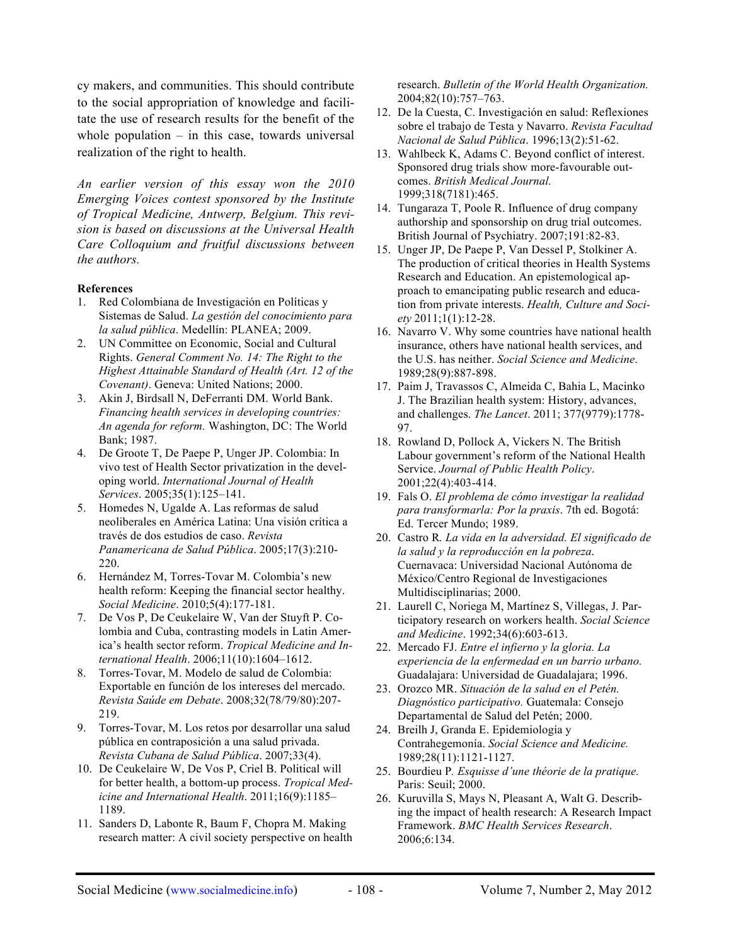cy makers, and communities. This should contribute to the social appropriation of knowledge and facilitate the use of research results for the benefit of the whole population  $-$  in this case, towards universal realization of the right to health.

*An earlier version of this essay won the 2010 Emerging Voices contest sponsored by the Institute of Tropical Medicine, Antwerp, Belgium. This revision is based on discussions at the Universal Health Care Colloquium and fruitful discussions between the authors.*

#### **References**

- 1. Red Colombiana de Investigación en Políticas y Sistemas de Salud. *La gestión del conocimiento para la salud pública*. Medellín: PLANEA; 2009.
- 2. UN Committee on Economic, Social and Cultural Rights. *General Comment No. 14: The Right to the Highest Attainable Standard of Health (Art. 12 of the Covenant)*. Geneva: United Nations; 2000.
- 3. Akin J, Birdsall N, DeFerranti DM. World Bank. *Financing health services in developing countries: An agenda for reform.* Washington, DC: The World Bank; 1987.
- 4. De Groote T, De Paepe P, Unger JP. Colombia: In vivo test of Health Sector privatization in the developing world. *International Journal of Health Services*. 2005;35(1):125–141.
- 5. Homedes N, Ugalde A. Las reformas de salud neoliberales en América Latina: Una visión crítica a través de dos estudios de caso. *Revista Panamericana de Salud Pública*. 2005;17(3):210- 220.
- 6. Hernández M, Torres-Tovar M. Colombia's new health reform: Keeping the financial sector healthy. *Social Medicine*. 2010;5(4):177-181.
- 7. De Vos P, De Ceukelaire W, Van der Stuyft P. Colombia and Cuba, contrasting models in Latin America's health sector reform. *Tropical Medicine and International Health*. 2006;11(10):1604–1612.
- 8. Torres-Tovar, M. Modelo de salud de Colombia: Exportable en función de los intereses del mercado. *Revista Saúde em Debate*. 2008;32(78/79/80):207- 219.
- 9. Torres-Tovar, M. Los retos por desarrollar una salud pública en contraposición a una salud privada. *Revista Cubana de Salud Pública*. 2007;33(4).
- 10. De Ceukelaire W, De Vos P, Criel B. Political will for better health, a bottom-up process. *Tropical Medicine and International Health*. 2011;16(9):1185– 1189.
- 11. Sanders D, Labonte R, Baum F, Chopra M. Making research matter: A civil society perspective on health

research. *Bulletin of the World Health Organization.* 2004;82(10):757–763.

- 12. De la Cuesta, C. Investigación en salud: Reflexiones sobre el trabajo de Testa y Navarro. *Revista Facultad Nacional de Salud Pública*. 1996;13(2):51-62.
- 13. Wahlbeck K, Adams C. Beyond conflict of interest. Sponsored drug trials show more-favourable outcomes. *British Medical Journal.*  1999;318(7181):465.
- 14. Tungaraza T, Poole R. Influence of drug company authorship and sponsorship on drug trial outcomes. British Journal of Psychiatry. 2007;191:82-83.
- 15. Unger JP, De Paepe P, Van Dessel P, Stolkiner A. The production of critical theories in Health Systems Research and Education. An epistemological approach to emancipating public research and education from private interests. *Health, Culture and Society* 2011;1(1):12-28.
- 16. Navarro V. Why some countries have national health insurance, others have national health services, and the U.S. has neither. *Social Science and Medicine*. 1989;28(9):887-898.
- 17. Paim J, Travassos C, Almeida C, Bahia L, Macinko J. The Brazilian health system: History, advances, and challenges. *The Lancet*. 2011; 377(9779):1778- 97.
- 18. Rowland D, Pollock A, Vickers N. The British Labour government's reform of the National Health Service. *Journal of Public Health Policy*. 2001;22(4):403-414.
- 19. Fals O. *El problema de cómo investigar la realidad para transformarla: Por la praxis*. 7th ed. Bogotá: Ed. Tercer Mundo; 1989.
- 20. Castro R*. La vida en la adversidad. El significado de la salud y la reproducción en la pobreza*. Cuernavaca: Universidad Nacional Autónoma de México/Centro Regional de Investigaciones Multidisciplinarias; 2000.
- 21. Laurell C, Noriega M, Martínez S, Villegas, J. Participatory research on workers health. *Social Science and Medicine*. 1992;34(6):603-613.
- 22. Mercado FJ. *Entre el infierno y la gloria. La experiencia de la enfermedad en un barrio urbano.*  Guadalajara: Universidad de Guadalajara; 1996.
- 23. Orozco MR. *Situación de la salud en el Petén. Diagnóstico participativo.* Guatemala: Consejo Departamental de Salud del Petén; 2000.
- 24. Breilh J, Granda E. Epidemiología y Contrahegemonía. *Social Science and Medicine.*  1989;28(11):1121-1127.
- 25. Bourdieu P*. Esquisse d'une théorie de la pratique.*  Paris: Seuil; 2000.
- 26. Kuruvilla S, Mays N, Pleasant A, Walt G. Describing the impact of health research: A Research Impact Framework. *BMC Health Services Research*. 2006;6:134.